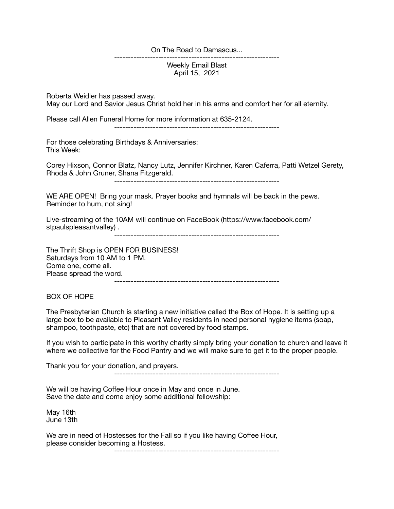On The Road to Damascus...

Weekly Email Blast April 15, 2021

------------------------------------------------------------

Roberta Weidler has passed away. May our Lord and Savior Jesus Christ hold her in his arms and comfort her for all eternity.

Please call Allen Funeral Home for more information at 635-2124.

------------------------------------------------------------

For those celebrating Birthdays & Anniversaries: This Week:

Corey Hixson, Connor Blatz, Nancy Lutz, Jennifer Kirchner, Karen Caferra, Patti Wetzel Gerety, Rhoda & John Gruner, Shana Fitzgerald.

------------------------------------------------------------

WE ARE OPEN! Bring your mask. Prayer books and hymnals will be back in the pews. Reminder to hum, not sing!

Live-streaming of the 10AM will continue on FaceBook (https://www.facebook.com/ stpaulspleasantvalley).

------------------------------------------------------------

The Thrift Shop is OPEN FOR BUSINESS! Saturdays from 10 AM to 1 PM. Come one, come all. Please spread the word. ------------------------------------------------------------

BOX OF HOPE

The Presbyterian Church is starting a new initiative called the Box of Hope. It is setting up a large box to be available to Pleasant Valley residents in need personal hygiene items (soap, shampoo, toothpaste, etc) that are not covered by food stamps.

If you wish to participate in this worthy charity simply bring your donation to church and leave it where we collective for the Food Pantry and we will make sure to get it to the proper people.

Thank you for your donation, and prayers.

------------------------------------------------------------

We will be having Coffee Hour once in May and once in June. Save the date and come enjoy some additional fellowship:

May 16th June 13th

We are in need of Hostesses for the Fall so if you like having Coffee Hour, please consider becoming a Hostess.

------------------------------------------------------------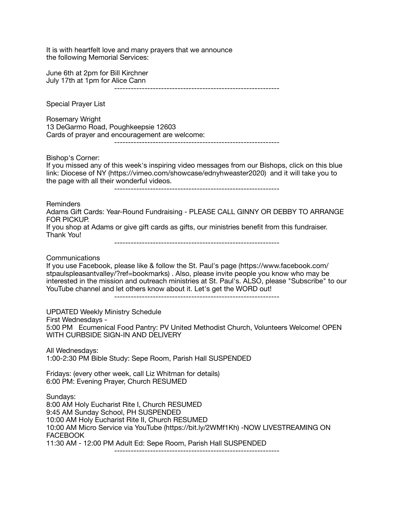It is with heartfelt love and many prayers that we announce the following Memorial Services: June 6th at 2pm for Bill Kirchner July 17th at 1pm for Alice Cann ------------------------------------------------------------ Special Prayer List Rosemary Wright 13 DeGarmo Road, Poughkeepsie 12603 Cards of prayer and encouragement are welcome: ------------------------------------------------------------ Bishop's Corner: If you missed any of this week's inspiring video messages from our Bishops, click on this blue link: Diocese of NY (https://vimeo.com/showcase/ednyhweaster2020) and it will take you to the page with all their wonderful videos. ------------------------------------------------------------ Reminders Adams Gift Cards: Year-Round Fundraising - PLEASE CALL GINNY OR DEBBY TO ARRANGE FOR PICKUP. If you shop at Adams or give gift cards as gifts, our ministries benefit from this fundraiser. Thank You! ------------------------------------------------------------ Communications If you use Facebook, please like & follow the St. Paul's page (https://www.facebook.com/ stpaulspleasantvalley/?ref=bookmarks) . Also, please invite people you know who may be interested in the mission and outreach ministries at St. Paul's. ALSO, please "Subscribe" to our YouTube channel and let others know about it. Let's get the WORD out! ------------------------------------------------------------ UPDATED Weekly Ministry Schedule First Wednesdays - 5:00 PM Ecumenical Food Pantry: PV United Methodist Church, Volunteers Welcome! OPEN WITH CURBSIDE SIGN-IN AND DELIVERY All Wednesdays: 1:00-2:30 PM Bible Study: Sepe Room, Parish Hall SUSPENDED Fridays: (every other week, call Liz Whitman for details) 6:00 PM: Evening Prayer, Church RESUMED Sundays: 8:00 AM Holy Eucharist Rite I, Church RESUMED 9:45 AM Sunday School, PH SUSPENDED 10:00 AM Holy Eucharist Rite II, Church RESUMED 10:00 AM Micro Service via YouTube (https://bit.ly/2WMf1Kh) -NOW LIVESTREAMING ON **FACEBOOK** 11:30 AM - 12:00 PM Adult Ed: Sepe Room, Parish Hall SUSPENDED ------------------------------------------------------------